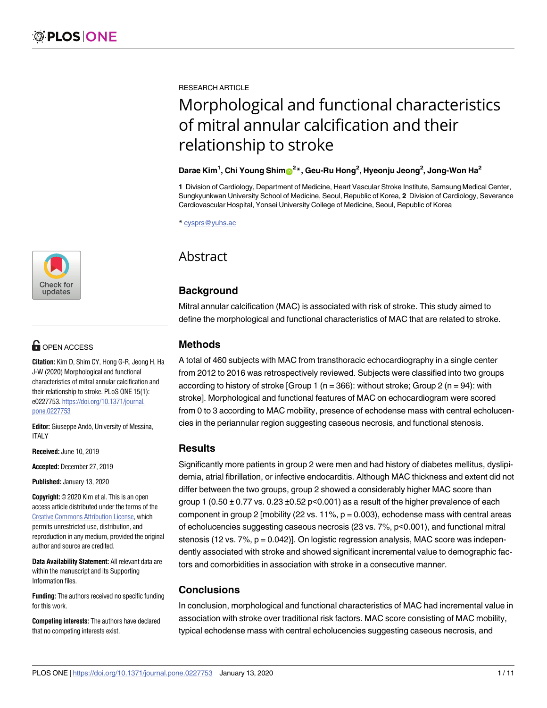

# **OPEN ACCESS**

**Citation:** Kim D, Shim CY, Hong G-R, Jeong H, Ha J-W (2020) Morphological and functional characteristics of mitral annular calcification and their relationship to stroke. PLoS ONE 15(1): e0227753. [https://doi.org/10.1371/journal.](https://doi.org/10.1371/journal.pone.0227753) [pone.0227753](https://doi.org/10.1371/journal.pone.0227753)

**Editor:** Giuseppe Andò, University of Messina, ITALY

**Received:** June 10, 2019

**Accepted:** December 27, 2019

**Published:** January 13, 2020

**Copyright:** © 2020 Kim et al. This is an open access article distributed under the terms of the Creative Commons [Attribution](http://creativecommons.org/licenses/by/4.0/) License, which permits unrestricted use, distribution, and reproduction in any medium, provided the original author and source are credited.

**Data Availability Statement:** All relevant data are within the manuscript and its Supporting Information files.

**Funding:** The authors received no specific funding for this work.

**Competing interests:** The authors have declared that no competing interests exist.

RESEARCH ARTICLE

# Morphological and functional characteristics of mitral annular calcification and their relationship to stroke

# **Darae Kim1 , Chi Young Shim[ID2](http://orcid.org/0000-0002-6136-0136) \*, Geu-Ru Hong2 , Hyeonju Jeong2 , Jong-Won Ha2**

**1** Division of Cardiology, Department of Medicine, Heart Vascular Stroke Institute, Samsung Medical Center, Sungkyunkwan University School of Medicine, Seoul, Republic of Korea, **2** Division of Cardiology, Severance Cardiovascular Hospital, Yonsei University College of Medicine, Seoul, Republic of Korea

\* cysprs@yuhs.ac

# Abstract

# **Background**

Mitral annular calcification (MAC) is associated with risk of stroke. This study aimed to define the morphological and functional characteristics of MAC that are related to stroke.

# **Methods**

A total of 460 subjects with MAC from transthoracic echocardiography in a single center from 2012 to 2016 was retrospectively reviewed. Subjects were classified into two groups according to history of stroke [Group 1 ( $n = 366$ ): without stroke; Group 2 ( $n = 94$ ): with stroke]. Morphological and functional features of MAC on echocardiogram were scored from 0 to 3 according to MAC mobility, presence of echodense mass with central echolucencies in the periannular region suggesting caseous necrosis, and functional stenosis.

# **Results**

Significantly more patients in group 2 were men and had history of diabetes mellitus, dyslipidemia, atrial fibrillation, or infective endocarditis. Although MAC thickness and extent did not differ between the two groups, group 2 showed a considerably higher MAC score than group 1 (0.50  $\pm$  0.77 vs. 0.23  $\pm$ 0.52 p<0.001) as a result of the higher prevalence of each component in group 2 [mobility (22 vs. 11%,  $p = 0.003$ ), echodense mass with central areas of echolucencies suggesting caseous necrosis (23 vs. 7%, p<0.001), and functional mitral stenosis (12 vs. 7%, p = 0.042)]. On logistic regression analysis, MAC score was independently associated with stroke and showed significant incremental value to demographic factors and comorbidities in association with stroke in a consecutive manner.

# **Conclusions**

In conclusion, morphological and functional characteristics of MAC had incremental value in association with stroke over traditional risk factors. MAC score consisting of MAC mobility, typical echodense mass with central echolucencies suggesting caseous necrosis, and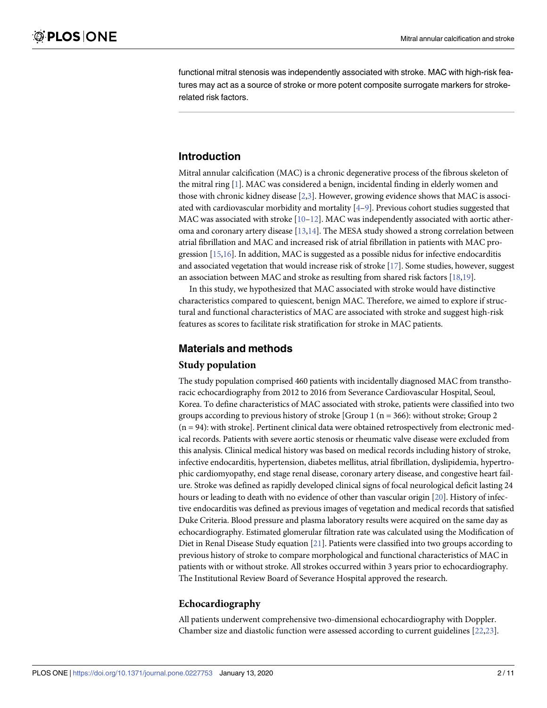<span id="page-1-0"></span>functional mitral stenosis was independently associated with stroke. MAC with high-risk features may act as a source of stroke or more potent composite surrogate markers for strokerelated risk factors.

# **Introduction**

Mitral annular calcification (MAC) is a chronic degenerative process of the fibrous skeleton of the mitral ring [[1](#page-8-0)]. MAC was considered a benign, incidental finding in elderly women and those with chronic kidney disease [\[2,3\]](#page-8-0). However, growing evidence shows that MAC is associated with cardiovascular morbidity and mortality [[4–9](#page-8-0)]. Previous cohort studies suggested that MAC was associated with stroke  $[10-12]$ . MAC was independently associated with aortic atheroma and coronary artery disease [\[13](#page-9-0),[14](#page-9-0)]. The MESA study showed a strong correlation between atrial fibrillation and MAC and increased risk of atrial fibrillation in patients with MAC progression [\[15,16](#page-9-0)]. In addition, MAC is suggested as a possible nidus for infective endocarditis and associated vegetation that would increase risk of stroke [[17](#page-9-0)]. Some studies, however, suggest an association between MAC and stroke as resulting from shared risk factors [\[18,19](#page-9-0)].

In this study, we hypothesized that MAC associated with stroke would have distinctive characteristics compared to quiescent, benign MAC. Therefore, we aimed to explore if structural and functional characteristics of MAC are associated with stroke and suggest high-risk features as scores to facilitate risk stratification for stroke in MAC patients.

# **Materials and methods**

#### **Study population**

The study population comprised 460 patients with incidentally diagnosed MAC from transthoracic echocardiography from 2012 to 2016 from Severance Cardiovascular Hospital, Seoul, Korea. To define characteristics of MAC associated with stroke, patients were classified into two groups according to previous history of stroke [Group 1 ( $n = 366$ ): without stroke; Group 2  $(n = 94)$ : with stroke]. Pertinent clinical data were obtained retrospectively from electronic medical records. Patients with severe aortic stenosis or rheumatic valve disease were excluded from this analysis. Clinical medical history was based on medical records including history of stroke, infective endocarditis, hypertension, diabetes mellitus, atrial fibrillation, dyslipidemia, hypertrophic cardiomyopathy, end stage renal disease, coronary artery disease, and congestive heart failure. Stroke was defined as rapidly developed clinical signs of focal neurological deficit lasting 24 hours or leading to death with no evidence of other than vascular origin [[20](#page-9-0)]. History of infective endocarditis was defined as previous images of vegetation and medical records that satisfied Duke Criteria. Blood pressure and plasma laboratory results were acquired on the same day as echocardiography. Estimated glomerular filtration rate was calculated using the Modification of Diet in Renal Disease Study equation [[21](#page-9-0)]. Patients were classified into two groups according to previous history of stroke to compare morphological and functional characteristics of MAC in patients with or without stroke. All strokes occurred within 3 years prior to echocardiography. The Institutional Review Board of Severance Hospital approved the research.

# **Echocardiography**

All patients underwent comprehensive two-dimensional echocardiography with Doppler. Chamber size and diastolic function were assessed according to current guidelines [[22](#page-9-0),[23\]](#page-9-0).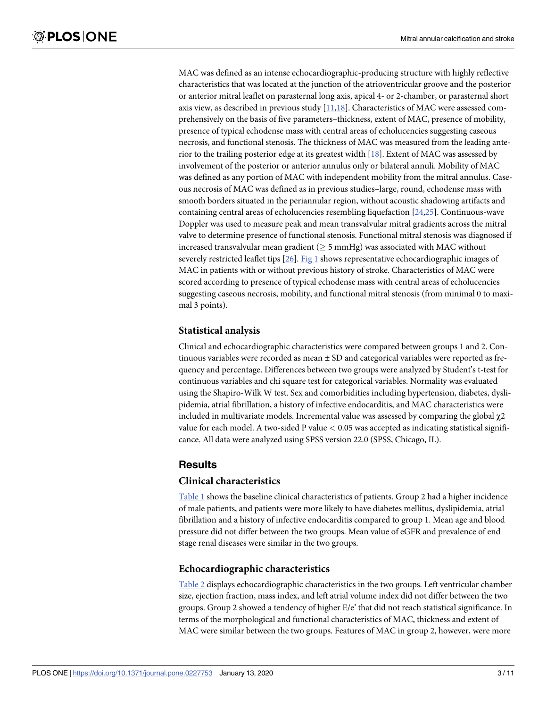<span id="page-2-0"></span>MAC was defined as an intense echocardiographic-producing structure with highly reflective characteristics that was located at the junction of the atrioventricular groove and the posterior or anterior mitral leaflet on parasternal long axis, apical 4- or 2-chamber, or parasternal short axis view, as described in previous study [\[11,18](#page-9-0)]. Characteristics of MAC were assessed comprehensively on the basis of five parameters–thickness, extent of MAC, presence of mobility, presence of typical echodense mass with central areas of echolucencies suggesting caseous necrosis, and functional stenosis. The thickness of MAC was measured from the leading anterior to the trailing posterior edge at its greatest width [\[18\]](#page-9-0). Extent of MAC was assessed by involvement of the posterior or anterior annulus only or bilateral annuli. Mobility of MAC was defined as any portion of MAC with independent mobility from the mitral annulus. Caseous necrosis of MAC was defined as in previous studies–large, round, echodense mass with smooth borders situated in the periannular region, without acoustic shadowing artifacts and containing central areas of echolucencies resembling liquefaction [\[24,25\]](#page-9-0). Continuous-wave Doppler was used to measure peak and mean transvalvular mitral gradients across the mitral valve to determine presence of functional stenosis. Functional mitral stenosis was diagnosed if increased transvalvular mean gradient ( $>$  5 mmHg) was associated with MAC without severely restricted leaflet tips [\[26\]](#page-9-0). [Fig](#page-3-0) 1 shows representative echocardiographic images of MAC in patients with or without previous history of stroke. Characteristics of MAC were scored according to presence of typical echodense mass with central areas of echolucencies suggesting caseous necrosis, mobility, and functional mitral stenosis (from minimal 0 to maximal 3 points).

### **Statistical analysis**

Clinical and echocardiographic characteristics were compared between groups 1 and 2. Continuous variables were recorded as mean  $\pm$  SD and categorical variables were reported as frequency and percentage. Differences between two groups were analyzed by Student's t-test for continuous variables and chi square test for categorical variables. Normality was evaluated using the Shapiro-Wilk W test. Sex and comorbidities including hypertension, diabetes, dyslipidemia, atrial fibrillation, a history of infective endocarditis, and MAC characteristics were included in multivariate models. Incremental value was assessed by comparing the global  $\chi$ 2 value for each model. A two-sided P value *<* 0.05 was accepted as indicating statistical significance. All data were analyzed using SPSS version 22.0 (SPSS, Chicago, IL).

# **Results**

#### **Clinical characteristics**

[Table](#page-3-0) 1 shows the baseline clinical characteristics of patients. Group 2 had a higher incidence of male patients, and patients were more likely to have diabetes mellitus, dyslipidemia, atrial fibrillation and a history of infective endocarditis compared to group 1. Mean age and blood pressure did not differ between the two groups. Mean value of eGFR and prevalence of end stage renal diseases were similar in the two groups.

# **Echocardiographic characteristics**

[Table](#page-4-0) 2 displays echocardiographic characteristics in the two groups. Left ventricular chamber size, ejection fraction, mass index, and left atrial volume index did not differ between the two groups. Group 2 showed a tendency of higher E/e' that did not reach statistical significance. In terms of the morphological and functional characteristics of MAC, thickness and extent of MAC were similar between the two groups. Features of MAC in group 2, however, were more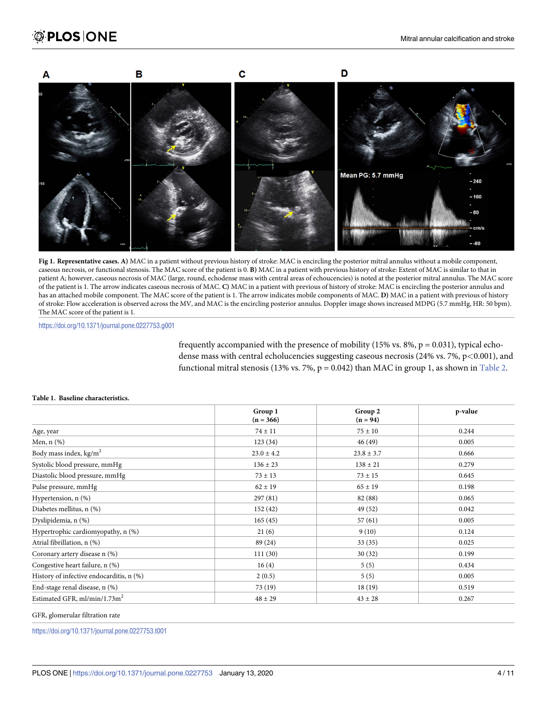<span id="page-3-0"></span>

**[Fig](#page-2-0) 1. Representative cases. A)** MAC in a patient without previous history of stroke: MAC is encircling the posterior mitral annulus without a mobile component, caseous necrosis, or functional stenosis. The MAC score of the patient is 0. **B)** MAC in a patient with previous history of stroke: Extent of MAC is similar to that in patient A; however, caseous necrosis of MAC (large, round, echodense mass with central areas of echoucencies) is noted at the posterior mitral annulus. The MAC score of the patient is 1. The arrow indicates caseous necrosis of MAC. **C)** MAC in a patient with previous of history of stroke: MAC is encircling the posterior annulus and has an attached mobile component. The MAC score of the patient is 1. The arrow indicates mobile components of MAC. **D)** MAC in a patient with previous of history of stroke: Flow acceleration is observed across the MV, and MAC is the encircling posterior annulus. Doppler image shows increased MDPG (5.7 mmHg, HR: 50 bpm). The MAC score of the patient is 1.

<https://doi.org/10.1371/journal.pone.0227753.g001>

frequently accompanied with the presence of mobility (15% vs. 8%,  $p = 0.031$ ), typical echodense mass with central echolucencies suggesting caseous necrosis (24% vs. 7%, p*<*0.001), and functional mitral stenosis (13% vs. 7%,  $p = 0.042$ ) than MAC in group 1, as shown in [Table](#page-4-0) 2.

|                                          | Group 1        | Group 2        | p-value |  |
|------------------------------------------|----------------|----------------|---------|--|
|                                          | $(n = 366)$    | $(n = 94)$     |         |  |
| Age, year                                | $74 \pm 11$    | $75 \pm 10$    | 0.244   |  |
| Men, $n$ $(\%)$                          | 123(34)        | 46(49)         | 0.005   |  |
| Body mass index, kg/m <sup>2</sup>       | $23.0 \pm 4.2$ | $23.8 \pm 3.7$ | 0.666   |  |
| Systolic blood pressure, mmHg            | $136 \pm 23$   | $138 \pm 21$   | 0.279   |  |
| Diastolic blood pressure, mmHg           | $73 \pm 13$    | $73 \pm 15$    | 0.645   |  |
| Pulse pressure, mmHg                     | $62 \pm 19$    | $65 \pm 19$    | 0.198   |  |
| Hypertension, n (%)                      | 297(81)        | 82 (88)        | 0.065   |  |
| Diabetes mellitus, n (%)                 | 152(42)        | 49 (52)        | 0.042   |  |
| Dyslipidemia, n (%)                      | 165(45)        | 57(61)         | 0.005   |  |
| Hypertrophic cardiomyopathy, n (%)       | 21(6)          | 9(10)          | 0.124   |  |
| Atrial fibrillation, n (%)               | 89 (24)        | 33(35)         | 0.025   |  |
| Coronary artery disease n (%)            | 111(30)        | 30(32)         | 0.199   |  |
| Congestive heart failure, n (%)          | 16(4)          | 5(5)           | 0.434   |  |
| History of infective endocarditis, n (%) | 2(0.5)         | 5(5)           | 0.005   |  |
| End-stage renal disease, n (%)           | 73 (19)        | 18(19)         | 0.519   |  |
| Estimated GFR, ml/min/1.73m <sup>2</sup> | $48 \pm 29$    | $43 \pm 28$    | 0.267   |  |

#### **[Table](#page-2-0) 1. Baseline characteristics.**

GFR, glomerular filtration rate

<https://doi.org/10.1371/journal.pone.0227753.t001>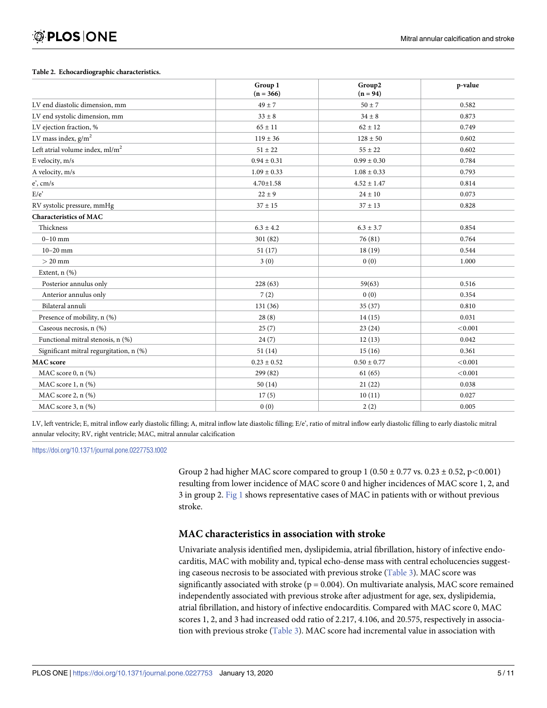#### <span id="page-4-0"></span>**[Table](#page-2-0) 2. Echocardiographic characteristics.**

|                                         | Group 1<br>$(n = 366)$ | Group2<br>$(n = 94)$ | p-value |
|-----------------------------------------|------------------------|----------------------|---------|
| LV end diastolic dimension, mm          | $49 \pm 7$             | $50 \pm 7$           | 0.582   |
| LV end systolic dimension, mm           | $33 \pm 8$             | $34 \pm 8$           | 0.873   |
| LV ejection fraction, %                 | $65 \pm 11$            | $62 \pm 12$          | 0.749   |
| LV mass index, $g/m^2$                  | $119 \pm 36$           | $128 \pm 50$         | 0.602   |
| Left atrial volume index, $ml/m2$       | $51 \pm 22$            | $55 \pm 22$          | 0.602   |
| E velocity, m/s                         | $0.94 \pm 0.31$        | $0.99 \pm 0.30$      | 0.784   |
| A velocity, m/s                         | $1.09 \pm 0.33$        | $1.08 \pm 0.33$      | 0.793   |
| $e$ ', cm/s                             | $4.70 \pm 1.58$        | $4.52 \pm 1.47$      | 0.814   |
| E/e                                     | $22 \pm 9$             | $24 \pm 10$          | 0.073   |
| RV systolic pressure, mmHg              | $37 \pm 15$            | $37 \pm 13$          | 0.828   |
| <b>Characteristics of MAC</b>           |                        |                      |         |
| Thickness                               | $6.3 \pm 4.2$          | $6.3 \pm 3.7$        | 0.854   |
| $0-10$ mm                               | 301 (82)               | 76 (81)              | 0.764   |
| $10 - 20$ mm                            | 51(17)                 | 18(19)               | 0.544   |
| $> 20$ mm                               | 3(0)                   | 0(0)                 | 1.000   |
| Extent, $n$ $(\%)$                      |                        |                      |         |
| Posterior annulus only                  | 228(63)                | 59(63)               | 0.516   |
| Anterior annulus only                   | 7(2)                   | 0(0)                 | 0.354   |
| Bilateral annuli                        | 131(36)                | 35(37)               | 0.810   |
| Presence of mobility, n (%)             | 28(8)                  | 14(15)               | 0.031   |
| Caseous necrosis, n (%)                 | 25(7)                  | 23(24)               | < 0.001 |
| Functional mitral stenosis, n (%)       | 24(7)                  | 12(13)               | 0.042   |
| Significant mitral regurgitation, n (%) | 51(14)                 | 15(16)               | 0.361   |
| <b>MAC</b> score                        | $0.23 \pm 0.52$        | $0.50 \pm 0.77$      | < 0.001 |
| MAC score 0, n (%)                      | 299 (82)               | 61(65)               | < 0.001 |
| MAC score 1, n (%)                      | 50(14)                 | 21(22)               | 0.038   |
| MAC score $2$ , n $(\%)$                | 17(5)                  | 10(11)               | 0.027   |
| MAC score $3$ , n $(\%)$                | 0(0)                   | 2(2)                 | 0.005   |

LV, left ventricle; E, mitral inflow early diastolic filling; A, mitral inflow late diastolic filling; E/e', ratio of mitral inflow early diastolic filling to early diastolic mitral annular velocity; RV, right ventricle; MAC, mitral annular calcification

<https://doi.org/10.1371/journal.pone.0227753.t002>

Group 2 had higher MAC score compared to group 1 (0.50 ± 0.77 vs. 0.23 ± 0.52, p*<*0.001) resulting from lower incidence of MAC score 0 and higher incidences of MAC score 1, 2, and 3 in group 2. [Fig](#page-3-0) 1 shows representative cases of MAC in patients with or without previous stroke.

# **MAC characteristics in association with stroke**

Univariate analysis identified men, dyslipidemia, atrial fibrillation, history of infective endocarditis, MAC with mobility and, typical echo-dense mass with central echolucencies suggesting caseous necrosis to be associated with previous stroke [\(Table](#page-5-0) 3). MAC score was significantly associated with stroke ( $p = 0.004$ ). On multivariate analysis, MAC score remained independently associated with previous stroke after adjustment for age, sex, dyslipidemia, atrial fibrillation, and history of infective endocarditis. Compared with MAC score 0, MAC scores 1, 2, and 3 had increased odd ratio of 2.217, 4.106, and 20.575, respectively in association with previous stroke [\(Table](#page-5-0) 3). MAC score had incremental value in association with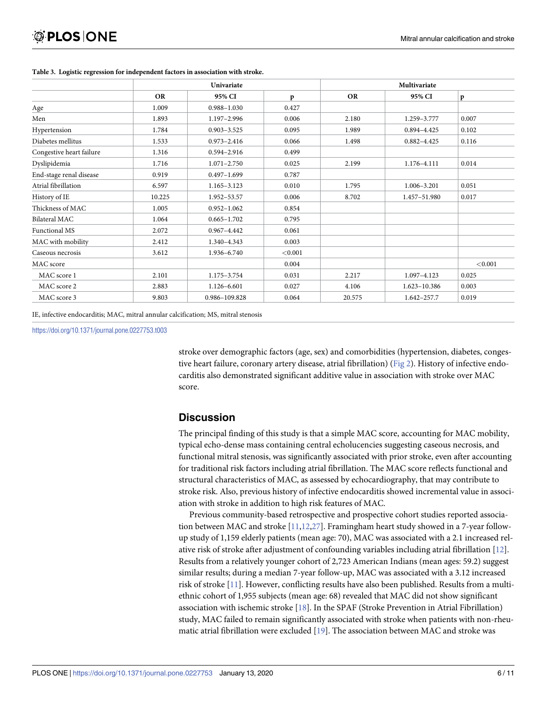|                          |           | Univariate      |         |           | Multivariate    |         |  |
|--------------------------|-----------|-----------------|---------|-----------|-----------------|---------|--|
|                          | <b>OR</b> | 95% CI          | p       | <b>OR</b> | 95% CI          | p       |  |
| Age                      | 1.009     | $0.988 - 1.030$ | 0.427   |           |                 |         |  |
| Men                      | 1.893     | 1.197-2.996     | 0.006   | 2.180     | 1.259-3.777     | 0.007   |  |
| Hypertension             | 1.784     | $0.903 - 3.525$ | 0.095   | 1.989     | 0.894-4.425     | 0.102   |  |
| Diabetes mellitus        | 1.533     | $0.973 - 2.416$ | 0.066   | 1.498     | $0.882 - 4.425$ | 0.116   |  |
| Congestive heart failure | 1.316     | 0.594-2.916     | 0.499   |           |                 |         |  |
| Dyslipidemia             | 1.716     | $1.071 - 2.750$ | 0.025   | 2.199     | 1.176-4.111     | 0.014   |  |
| End-stage renal disease  | 0.919     | $0.497 - 1.699$ | 0.787   |           |                 |         |  |
| Atrial fibrillation      | 6.597     | 1.165-3.123     | 0.010   | 1.795     | 1.006-3.201     | 0.051   |  |
| History of IE            | 10.225    | 1.952-53.57     | 0.006   | 8.702     | 1.457-51.980    | 0.017   |  |
| Thickness of MAC         | 1.005     | $0.952 - 1.062$ | 0.854   |           |                 |         |  |
| Bilateral MAC            | 1.064     | $0.665 - 1.702$ | 0.795   |           |                 |         |  |
| Functional MS            | 2.072     | $0.967 - 4.442$ | 0.061   |           |                 |         |  |
| MAC with mobility        | 2.412     | 1.340-4.343     | 0.003   |           |                 |         |  |
| Caseous necrosis         | 3.612     | 1.936-6.740     | < 0.001 |           |                 |         |  |
| MAC score                |           |                 | 0.004   |           |                 | < 0.001 |  |
| MAC score 1              | 2.101     | 1.175-3.754     | 0.031   | 2.217     | 1.097-4.123     | 0.025   |  |
| MAC score 2              | 2.883     | 1.126-6.601     | 0.027   | 4.106     | 1.623-10.386    | 0.003   |  |
| MAC score 3              | 9.803     | 0.986-109.828   | 0.064   | 20.575    | $1.642 - 257.7$ | 0.019   |  |

#### <span id="page-5-0"></span>**[Table](#page-4-0) 3. Logistic regression for independent factors in association with stroke.**

IE, infective endocarditis; MAC, mitral annular calcification; MS, mitral stenosis

<https://doi.org/10.1371/journal.pone.0227753.t003>

stroke over demographic factors (age, sex) and comorbidities (hypertension, diabetes, conges-tive heart failure, coronary artery disease, atrial fibrillation) [\(Fig](#page-6-0) 2). History of infective endocarditis also demonstrated significant additive value in association with stroke over MAC score.

#### **Discussion**

The principal finding of this study is that a simple MAC score, accounting for MAC mobility, typical echo-dense mass containing central echolucencies suggesting caseous necrosis, and functional mitral stenosis, was significantly associated with prior stroke, even after accounting for traditional risk factors including atrial fibrillation. The MAC score reflects functional and structural characteristics of MAC, as assessed by echocardiography, that may contribute to stroke risk. Also, previous history of infective endocarditis showed incremental value in association with stroke in addition to high risk features of MAC.

Previous community-based retrospective and prospective cohort studies reported association between MAC and stroke [[11](#page-9-0),[12](#page-9-0)[,27\]](#page-10-0). Framingham heart study showed in a 7-year followup study of 1,159 elderly patients (mean age: 70), MAC was associated with a 2.1 increased relative risk of stroke after adjustment of confounding variables including atrial fibrillation [[12](#page-9-0)]. Results from a relatively younger cohort of 2,723 American Indians (mean ages: 59.2) suggest similar results; during a median 7-year follow-up, MAC was associated with a 3.12 increased risk of stroke [\[11\]](#page-9-0). However, conflicting results have also been published. Results from a multiethnic cohort of 1,955 subjects (mean age: 68) revealed that MAC did not show significant association with ischemic stroke [[18](#page-9-0)]. In the SPAF (Stroke Prevention in Atrial Fibrillation) study, MAC failed to remain significantly associated with stroke when patients with non-rheumatic atrial fibrillation were excluded [[19\]](#page-9-0). The association between MAC and stroke was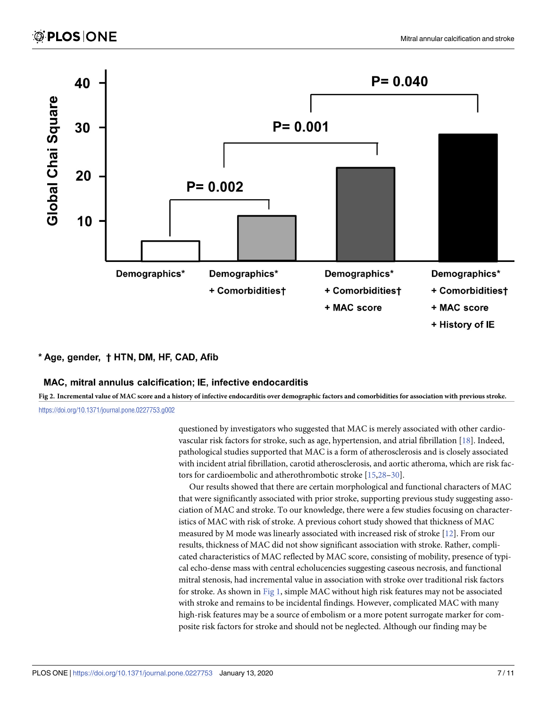<span id="page-6-0"></span>

# \* Age, gender, † HTN, DM, HF, CAD, Afib

# MAC, mitral annulus calcification; IE, infective endocarditis

[Fig](#page-5-0) 2. Incremental value of MAC score and a history of infective endocarditis over demographic factors and comorbidities for association with previous stroke. <https://doi.org/10.1371/journal.pone.0227753.g002>

> questioned by investigators who suggested that MAC is merely associated with other cardiovascular risk factors for stroke, such as age, hypertension, and atrial fibrillation [\[18\]](#page-9-0). Indeed, pathological studies supported that MAC is a form of atherosclerosis and is closely associated with incident atrial fibrillation, carotid atherosclerosis, and aortic atheroma, which are risk factors for cardioembolic and atherothrombotic stroke [\[15](#page-9-0)[,28–30](#page-10-0)].

> Our results showed that there are certain morphological and functional characters of MAC that were significantly associated with prior stroke, supporting previous study suggesting association of MAC and stroke. To our knowledge, there were a few studies focusing on characteristics of MAC with risk of stroke. A previous cohort study showed that thickness of MAC measured by M mode was linearly associated with increased risk of stroke [\[12\]](#page-9-0). From our results, thickness of MAC did not show significant association with stroke. Rather, complicated characteristics of MAC reflected by MAC score, consisting of mobility, presence of typical echo-dense mass with central echolucencies suggesting caseous necrosis, and functional mitral stenosis, had incremental value in association with stroke over traditional risk factors for stroke. As shown in [Fig](#page-3-0) 1, simple MAC without high risk features may not be associated with stroke and remains to be incidental findings. However, complicated MAC with many high-risk features may be a source of embolism or a more potent surrogate marker for composite risk factors for stroke and should not be neglected. Although our finding may be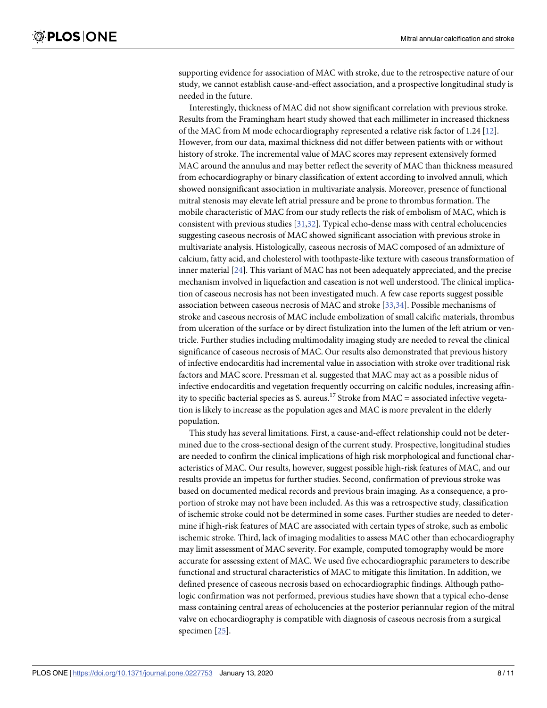<span id="page-7-0"></span>supporting evidence for association of MAC with stroke, due to the retrospective nature of our study, we cannot establish cause-and-effect association, and a prospective longitudinal study is needed in the future.

Interestingly, thickness of MAC did not show significant correlation with previous stroke. Results from the Framingham heart study showed that each millimeter in increased thickness of the MAC from M mode echocardiography represented a relative risk factor of 1.24 [[12](#page-9-0)]. However, from our data, maximal thickness did not differ between patients with or without history of stroke. The incremental value of MAC scores may represent extensively formed MAC around the annulus and may better reflect the severity of MAC than thickness measured from echocardiography or binary classification of extent according to involved annuli, which showed nonsignificant association in multivariate analysis. Moreover, presence of functional mitral stenosis may elevate left atrial pressure and be prone to thrombus formation. The mobile characteristic of MAC from our study reflects the risk of embolism of MAC, which is consistent with previous studies [\[31,32\]](#page-10-0). Typical echo-dense mass with central echolucencies suggesting caseous necrosis of MAC showed significant association with previous stroke in multivariate analysis. Histologically, caseous necrosis of MAC composed of an admixture of calcium, fatty acid, and cholesterol with toothpaste-like texture with caseous transformation of inner material [\[24\]](#page-9-0). This variant of MAC has not been adequately appreciated, and the precise mechanism involved in liquefaction and caseation is not well understood. The clinical implication of caseous necrosis has not been investigated much. A few case reports suggest possible association between caseous necrosis of MAC and stroke [\[33,34](#page-10-0)]. Possible mechanisms of stroke and caseous necrosis of MAC include embolization of small calcific materials, thrombus from ulceration of the surface or by direct fistulization into the lumen of the left atrium or ventricle. Further studies including multimodality imaging study are needed to reveal the clinical significance of caseous necrosis of MAC. Our results also demonstrated that previous history of infective endocarditis had incremental value in association with stroke over traditional risk factors and MAC score. Pressman et al. suggested that MAC may act as a possible nidus of infective endocarditis and vegetation frequently occurring on calcific nodules, increasing affinity to specific bacterial species as S. aureus.<sup>17</sup> Stroke from  $MAC = associated$  infective vegetation is likely to increase as the population ages and MAC is more prevalent in the elderly population.

This study has several limitations. First, a cause-and-effect relationship could not be determined due to the cross-sectional design of the current study. Prospective, longitudinal studies are needed to confirm the clinical implications of high risk morphological and functional characteristics of MAC. Our results, however, suggest possible high-risk features of MAC, and our results provide an impetus for further studies. Second, confirmation of previous stroke was based on documented medical records and previous brain imaging. As a consequence, a proportion of stroke may not have been included. As this was a retrospective study, classification of ischemic stroke could not be determined in some cases. Further studies are needed to determine if high-risk features of MAC are associated with certain types of stroke, such as embolic ischemic stroke. Third, lack of imaging modalities to assess MAC other than echocardiography may limit assessment of MAC severity. For example, computed tomography would be more accurate for assessing extent of MAC. We used five echocardiographic parameters to describe functional and structural characteristics of MAC to mitigate this limitation. In addition, we defined presence of caseous necrosis based on echocardiographic findings. Although pathologic confirmation was not performed, previous studies have shown that a typical echo-dense mass containing central areas of echolucencies at the posterior periannular region of the mitral valve on echocardiography is compatible with diagnosis of caseous necrosis from a surgical specimen [\[25\]](#page-9-0).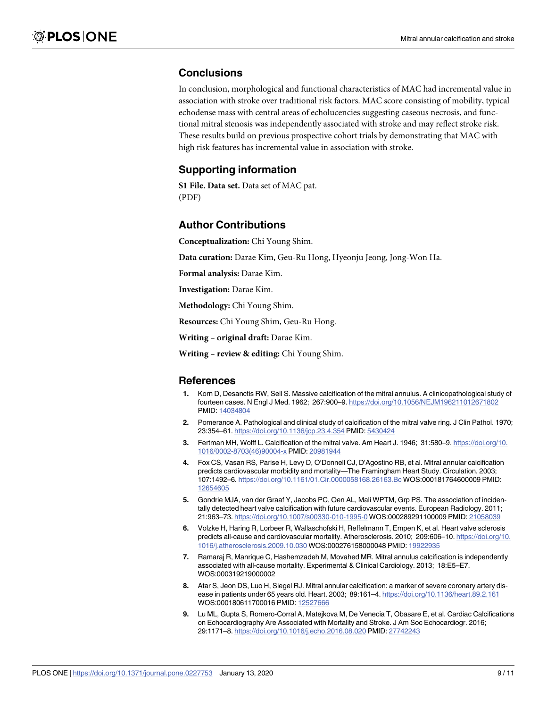# <span id="page-8-0"></span>**Conclusions**

In conclusion, morphological and functional characteristics of MAC had incremental value in association with stroke over traditional risk factors. MAC score consisting of mobility, typical echodense mass with central areas of echolucencies suggesting caseous necrosis, and functional mitral stenosis was independently associated with stroke and may reflect stroke risk. These results build on previous prospective cohort trials by demonstrating that MAC with high risk features has incremental value in association with stroke.

# **Supporting information**

**S1 [File.](http://www.plosone.org/article/fetchSingleRepresentation.action?uri=info:doi/10.1371/journal.pone.0227753.s001) Data set.** Data set of MAC pat. (PDF)

### **Author Contributions**

**Conceptualization:** Chi Young Shim.

**Data curation:** Darae Kim, Geu-Ru Hong, Hyeonju Jeong, Jong-Won Ha.

**Formal analysis:** Darae Kim.

**Investigation:** Darae Kim.

**Methodology:** Chi Young Shim.

**Resources:** Chi Young Shim, Geu-Ru Hong.

**Writing – original draft:** Darae Kim.

**Writing – review & editing:** Chi Young Shim.

#### **References**

- **[1](#page-1-0).** Korn D, Desanctis RW, Sell S. Massive calcification of the mitral annulus. A clinicopathological study of fourteen cases. N Engl J Med. 1962; 267:900–9. <https://doi.org/10.1056/NEJM196211012671802> PMID: [14034804](http://www.ncbi.nlm.nih.gov/pubmed/14034804)
- **[2](#page-1-0).** Pomerance A. Pathological and clinical study of calcification of the mitral valve ring. J Clin Pathol. 1970; 23:354–61. <https://doi.org/10.1136/jcp.23.4.354> PMID: [5430424](http://www.ncbi.nlm.nih.gov/pubmed/5430424)
- **[3](#page-1-0).** Fertman MH, Wolff L. Calcification of the mitral valve. Am Heart J. 1946; 31:580–9. [https://doi.org/10.](https://doi.org/10.1016/0002-8703(46)90004-x) [1016/0002-8703\(46\)90004-x](https://doi.org/10.1016/0002-8703(46)90004-x) PMID: [20981944](http://www.ncbi.nlm.nih.gov/pubmed/20981944)
- **[4](#page-1-0).** Fox CS, Vasan RS, Parise H, Levy D, O'Donnell CJ, D'Agostino RB, et al. Mitral annular calcification predicts cardiovascular morbidity and mortality—The Framingham Heart Study. Circulation. 2003; 107:1492–6. <https://doi.org/10.1161/01.Cir.0000058168.26163.Bc> WOS:000181764600009 PMID: [12654605](http://www.ncbi.nlm.nih.gov/pubmed/12654605)
- **5.** Gondrie MJA, van der Graaf Y, Jacobs PC, Oen AL, Mali WPTM, Grp PS. The association of incidentally detected heart valve calcification with future cardiovascular events. European Radiology. 2011; 21:963–73. <https://doi.org/10.1007/s00330-010-1995-0> WOS:000289291100009 PMID: [21058039](http://www.ncbi.nlm.nih.gov/pubmed/21058039)
- **6.** Volzke H, Haring R, Lorbeer R, Wallaschofski H, Reffelmann T, Empen K, et al. Heart valve sclerosis predicts all-cause and cardiovascular mortality. Atherosclerosis. 2010; 209:606–10. [https://doi.org/10.](https://doi.org/10.1016/j.atherosclerosis.2009.10.030) [1016/j.atherosclerosis.2009.10.030](https://doi.org/10.1016/j.atherosclerosis.2009.10.030) WOS:000276158000048 PMID: [19922935](http://www.ncbi.nlm.nih.gov/pubmed/19922935)
- **7.** Ramaraj R, Manrique C, Hashemzadeh M, Movahed MR. Mitral annulus calcification is independently associated with all-cause mortality. Experimental & Clinical Cardiology. 2013; 18:E5–E7. WOS:000319219000002
- **8.** Atar S, Jeon DS, Luo H, Siegel RJ. Mitral annular calcification: a marker of severe coronary artery disease in patients under 65 years old. Heart. 2003; 89:161–4. <https://doi.org/10.1136/heart.89.2.161> WOS:000180611700016 PMID: [12527666](http://www.ncbi.nlm.nih.gov/pubmed/12527666)
- **[9](#page-1-0).** Lu ML, Gupta S, Romero-Corral A, Matejkova M, De Venecia T, Obasare E, et al. Cardiac Calcifications on Echocardiography Are Associated with Mortality and Stroke. J Am Soc Echocardiogr. 2016; 29:1171–8. <https://doi.org/10.1016/j.echo.2016.08.020> PMID: [27742243](http://www.ncbi.nlm.nih.gov/pubmed/27742243)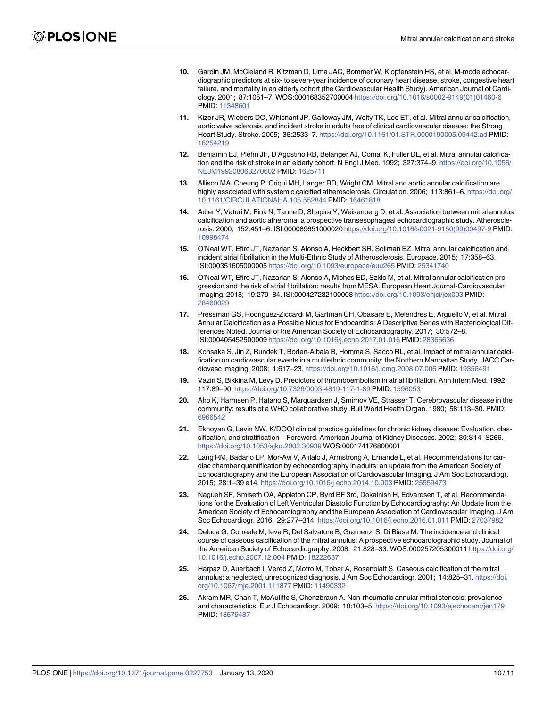- <span id="page-9-0"></span>**[10](#page-1-0).** Gardin JM, McCleland R, Kitzman D, Lima JAC, Bommer W, Klopfenstein HS, et al. M-mode echocardiographic predictors at six- to seven-year incidence of coronary heart disease, stroke, congestive heart failure, and mortality in an elderly cohort (the Cardiovascular Health Study). American Journal of Cardiology. 2001; 87:1051–7. WOS:000168352700004 [https://doi.org/10.1016/s0002-9149\(01\)01460-6](https://doi.org/10.1016/s0002-9149(01)01460-6) PMID: [11348601](http://www.ncbi.nlm.nih.gov/pubmed/11348601)
- **[11](#page-2-0).** Kizer JR, Wiebers DO, Whisnant JP, Galloway JM, Welty TK, Lee ET, et al. Mitral annular calcification, aortic valve sclerosis, and incident stroke in adults free of clinical cardiovascular disease: the Strong Heart Study. Stroke. 2005; 36:2533–7. <https://doi.org/10.1161/01.STR.0000190005.09442.ad> PMID: [16254219](http://www.ncbi.nlm.nih.gov/pubmed/16254219)
- **[12](#page-1-0).** Benjamin EJ, Plehn JF, D'Agostino RB, Belanger AJ, Comai K, Fuller DL, et al. Mitral annular calcification and the risk of stroke in an elderly cohort. N Engl J Med. 1992; 327:374–9. [https://doi.org/10.1056/](https://doi.org/10.1056/NEJM199208063270602) [NEJM199208063270602](https://doi.org/10.1056/NEJM199208063270602) PMID: [1625711](http://www.ncbi.nlm.nih.gov/pubmed/1625711)
- **[13](#page-1-0).** Allison MA, Cheung P, Criqui MH, Langer RD, Wright CM. Mitral and aortic annular calcification are highly associated with systemic calcified atherosclerosis. Circulation. 2006; 113:861-6. [https://doi.org/](https://doi.org/10.1161/CIRCULATIONAHA.105.552844) [10.1161/CIRCULATIONAHA.105.552844](https://doi.org/10.1161/CIRCULATIONAHA.105.552844) PMID: [16461818](http://www.ncbi.nlm.nih.gov/pubmed/16461818)
- **[14](#page-1-0).** Adler Y, Vaturi M, Fink N, Tanne D, Shapira Y, Weisenberg D, et al. Association between mitral annulus calcification and aortic atheroma: a prospective transesophageal echocardiographic study. Atherosclerosis. 2000; 152:451–6. ISI:000089651000020 [https://doi.org/10.1016/s0021-9150\(99\)00497-9](https://doi.org/10.1016/s0021-9150(99)00497-9) PMID: [10998474](http://www.ncbi.nlm.nih.gov/pubmed/10998474)
- **[15](#page-1-0).** O'Neal WT, Efird JT, Nazarian S, Alonso A, Heckbert SR, Soliman EZ. Mitral annular calcification and incident atrial fibrillation in the Multi-Ethnic Study of Atherosclerosis. Europace. 2015; 17:358–63. ISI:000351605000005 <https://doi.org/10.1093/europace/euu265> PMID: [25341740](http://www.ncbi.nlm.nih.gov/pubmed/25341740)
- **[16](#page-1-0).** O'Neal WT, Efird JT, Nazarian S, Alonso A, Michos ED, Szklo M, et al. Mitral annular calcification progression and the risk of atrial fibrillation: results from MESA. European Heart Journal-Cardiovascular Imaging. 2018; 19:279–84. ISI:000427282100008 <https://doi.org/10.1093/ehjci/jex093> PMID: [28460029](http://www.ncbi.nlm.nih.gov/pubmed/28460029)
- **[17](#page-1-0).** Pressman GS, Rodriguez-Ziccardi M, Gartman CH, Obasare E, Melendres E, Arguello V, et al. Mitral Annular Calcification as a Possible Nidus for Endocarditis: A Descriptive Series with Bacteriological Differences Noted. Journal of the American Society of Echocardiography. 2017; 30:572–8. ISI:000405452500009 <https://doi.org/10.1016/j.echo.2017.01.016> PMID: [28366636](http://www.ncbi.nlm.nih.gov/pubmed/28366636)
- **[18](#page-1-0).** Kohsaka S, Jin Z, Rundek T, Boden-Albala B, Homma S, Sacco RL, et al. Impact of mitral annular calcification on cardiovascular events in a multiethnic community: the Northern Manhattan Study. JACC Cardiovasc Imaging. 2008; 1:617–23. <https://doi.org/10.1016/j.jcmg.2008.07.006> PMID: [19356491](http://www.ncbi.nlm.nih.gov/pubmed/19356491)
- **[19](#page-1-0).** Vaziri S, Bikkina M, Levy D. Predictors of thromboembolism in atrial fibrillation. Ann Intern Med. 1992; 117:89–90. <https://doi.org/10.7326/0003-4819-117-1-89> PMID: [1596053](http://www.ncbi.nlm.nih.gov/pubmed/1596053)
- **[20](#page-1-0).** Aho K, Harmsen P, Hatano S, Marquardsen J, Smirnov VE, Strasser T. Cerebrovascular disease in the community: results of a WHO collaborative study. Bull World Health Organ. 1980; 58:113–30. PMID: [6966542](http://www.ncbi.nlm.nih.gov/pubmed/6966542)
- **[21](#page-1-0).** Eknoyan G, Levin NW. K/DOQI clinical practice guidelines for chronic kidney disease: Evaluation, classification, and stratification—Foreword. American Journal of Kidney Diseases. 2002; 39:S14–S266. <https://doi.org/10.1053/ajkd.2002.30939> WOS:000174176800001
- **[22](#page-1-0).** Lang RM, Badano LP, Mor-Avi V, Afilalo J, Armstrong A, Ernande L, et al. Recommendations for cardiac chamber quantification by echocardiography in adults: an update from the American Society of Echocardiography and the European Association of Cardiovascular Imaging. J Am Soc Echocardiogr. 2015; 28:1–39 e14. <https://doi.org/10.1016/j.echo.2014.10.003> PMID: [25559473](http://www.ncbi.nlm.nih.gov/pubmed/25559473)
- **[23](#page-1-0).** Nagueh SF, Smiseth OA, Appleton CP, Byrd BF 3rd, Dokainish H, Edvardsen T, et al. Recommendations for the Evaluation of Left Ventricular Diastolic Function by Echocardiography: An Update from the American Society of Echocardiography and the European Association of Cardiovascular Imaging. J Am Soc Echocardiogr. 2016; 29:277–314. <https://doi.org/10.1016/j.echo.2016.01.011> PMID: [27037982](http://www.ncbi.nlm.nih.gov/pubmed/27037982)
- **[24](#page-2-0).** Deluca G, Correale M, Ieva R, Del Salvatore B, Gramenzi S, Di Biase M. The incidence and clinical course of caseous calcification of the mitral annulus: A prospective echocardiographic study. Journal of the American Society of Echocardiography. 2008; 21:828–33. WOS:000257205300011 [https://doi.org/](https://doi.org/10.1016/j.echo.2007.12.004) [10.1016/j.echo.2007.12.004](https://doi.org/10.1016/j.echo.2007.12.004) PMID: [18222637](http://www.ncbi.nlm.nih.gov/pubmed/18222637)
- **[25](#page-2-0).** Harpaz D, Auerbach I, Vered Z, Motro M, Tobar A, Rosenblatt S. Caseous calcification of the mitral annulus: a neglected, unrecognized diagnosis. J Am Soc Echocardiogr. 2001; 14:825–31. [https://doi.](https://doi.org/10.1067/mje.2001.111877) [org/10.1067/mje.2001.111877](https://doi.org/10.1067/mje.2001.111877) PMID: [11490332](http://www.ncbi.nlm.nih.gov/pubmed/11490332)
- **[26](#page-2-0).** Akram MR, Chan T, McAuliffe S, Chenzbraun A. Non-rheumatic annular mitral stenosis: prevalence and characteristics. Eur J Echocardiogr. 2009; 10:103–5. <https://doi.org/10.1093/ejechocard/jen179> PMID: [18579487](http://www.ncbi.nlm.nih.gov/pubmed/18579487)